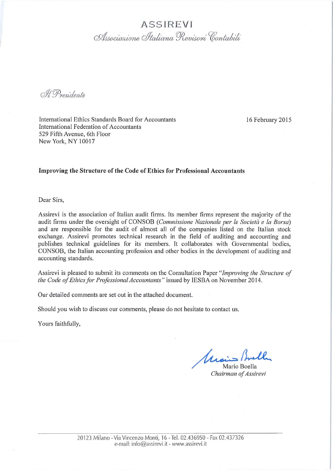**ASSIREVI** Associazione Italiana Revisori Contabili

M. Presidente

International Ethics Standards Board for Accountants International Federation of Accountants 529 Fifth Avenue, 6th Floor New York, NY 10017

16 February 2015

#### Improving the Structure of the Code of Ethics for Professional Accountants

Dear Sirs,

Assirevi is the association of Italian audit firms. Its member firms represent the majority of the audit firms under the oversight of CONSOB (Commissione Nazionale per le Società e la Borsa) and are responsible for the audit of almost all of the companies listed on the Italian stock exchange. Assirevi promotes technical research in the field of auditing and accounting and publishes technical guidelines for its members. It collaborates with Governmental bodies, CONSOB, the Italian accounting profession and other bodies in the development of auditing and accounting standards.

Assirevi is pleased to submit its comments on the Consultation Paper "Improving the Structure of the Code of Ethics for Professional Accountants" issued by IESBA on November 2014.

Our detailed comments are set out in the attached document.

Should you wish to discuss our comments, please do not hesitate to contact us.

Yours faithfully,

Unais Brelh

Mario Boella Chairman of Assirevi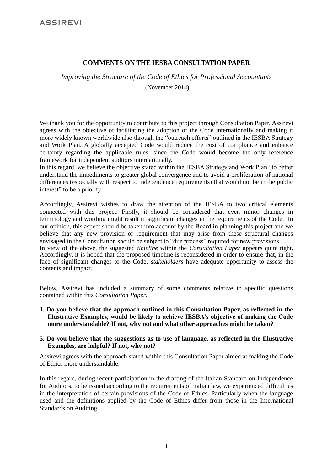# **COMMENTS ON THE IESBA CONSULTATION PAPER**

*Improving the Structure of the Code of Ethics for Professional Accountants*

(November 2014)

We thank you for the opportunity to contribute to this project through Consultation Paper. Assirevi agrees with the objective of facilitating the adoption of the Code internationally and making it more widely known worldwide also through the "outreach efforts" outlined in the IESBA Strategy and Work Plan. A globally accepted Code would reduce the cost of compliance and enhance certainty regarding the applicable rules, since the Code would become the only reference framework for independent auditors internationally.

In this regard, we believe the objective stated within the IESBA Strategy and Work Plan "to better understand the impediments to greater global convergence and to avoid a proliferation of national differences (especially with respect to independence requirements) that would not be in the public interest" to be a priority.

Accordingly, Assirevi wishes to draw the attention of the IESBA to two critical elements connected with this project. Firstly, it should be considered that even minor changes in terminology and wording might result in significant changes in the requirements of the Code. In our opinion, this aspect should be taken into account by the Board in planning this project and we believe that any new provision or requirement that may arise from these structural changes envisaged in the Consultation should be subject to "due process" required for new provisions.

In view of the above, the suggested *timeline* within the *Consultation Paper* appears quite tight. Accordingly, it is hoped that the proposed timeline is reconsidered in order to ensure that, in the face of significant changes to the Code, *stakeholders* have adequate opportunity to assess the contents and impact.

Below, Assirevi has included a summary of some comments relative to specific questions contained within this *Consultation Paper*.

**1. Do you believe that the approach outlined in this Consultation Paper, as reflected in the Illustrative Examples, would be likely to achieve IESBA's objective of making the Code more understandable? If not, why not and what other approaches might be taken?**

### **5. Do you believe that the suggestions as to use of language, as reflected in the Illustrative Examples, are helpful? If not, why not?**

Assirevi agrees with the approach stated within this Consultation Paper aimed at making the Code of Ethics more understandable.

In this regard, during recent participation in the drafting of the Italian Standard on Independence for Auditors, to be issued according to the requirements of Italian law, we experienced difficulties in the interpretation of certain provisions of the Code of Ethics. Particularly when the language used and the definitions applied by the Code of Ethics differ from those in the International Standards on Auditing.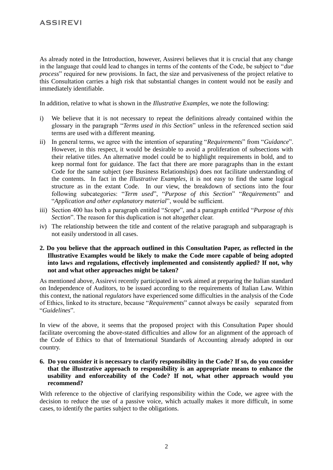As already noted in the Introduction, however, Assirevi believes that it is crucial that any change in the language that could lead to changes in terms of the contents of the Code, be subject to "*due process*" required for new provisions. In fact, the size and pervasiveness of the project relative to this Consultation carries a high risk that substantial changes in content would not be easily and immediately identifiable.

In addition, relative to what is shown in the *Illustrative Examples*, we note the following:

- i) We believe that it is not necessary to repeat the definitions already contained within the glossary in the paragraph "*Terms used in this Section*" unless in the referenced section said terms are used with a different meaning.
- ii) In general terms, we agree with the intention of separating "*Requirements*" from "*Guidance*". However, in this respect, it would be desirable to avoid a proliferation of subsections with their relative titles. An alternative model could be to highlight requirements in bold, and to keep normal font for guidance. The fact that there are more paragraphs than in the extant Code for the same subject (see Business Relationships) does not facilitate understanding of the contents. In fact in the *Illustrative Examples*, it is not easy to find the same logical structure as in the extant Code. In our view, the breakdown of sections into the four following subcategories: "*Term used*", "*Purpose of this Section*" "*Requirements*" and "*Application and other explanatory material*", would be sufficient.
- iii) Section 400 has both a paragraph entitled "*Scope*", and a paragraph entitled "*Purpose of this Section*". The reason for this duplication is not altogether clear.
- iv) The relationship between the title and content of the relative paragraph and subparagraph is not easily understood in all cases.
- **2. Do you believe that the approach outlined in this Consultation Paper, as reflected in the Illustrative Examples would be likely to make the Code more capable of being adopted into laws and regulations, effectively implemented and consistently applied? If not, why not and what other approaches might be taken?**

As mentioned above, Assirevi recently participated in work aimed at preparing the Italian standard on Independence of Auditors, to be issued according to the requirements of Italian Law. Within this context, the national *regulators* have experienced some difficulties in the analysis of the Code of Ethics, linked to its structure, because "*Requirements*" cannot always be easily separated from "*Guidelines*".

In view of the above, it seems that the proposed project with this Consultation Paper should facilitate overcoming the above-stated difficulties and allow for an alignment of the approach of the Code of Ethics to that of International Standards of Accounting already adopted in our country.

**6. Do you consider it is necessary to clarify responsibility in the Code? If so, do you consider that the illustrative approach to responsibility is an appropriate means to enhance the usability and enforceability of the Code? If not, what other approach would you recommend?**

With reference to the objective of clarifying responsibility within the Code, we agree with the decision to reduce the use of a passive voice, which actually makes it more difficult, in some cases, to identify the parties subject to the obligations.